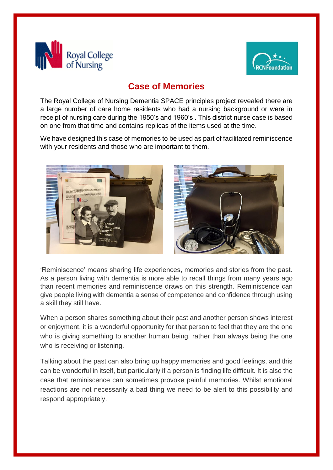



## **Case of Memories**

The Royal College of Nursing Dementia SPACE principles project revealed there are a large number of care home residents who had a nursing background or were in receipt of nursing care during the 1950's and 1960's . This district nurse case is based on one from that time and contains replicas of the items used at the time.

We have designed this case of memories to be used as part of facilitated reminiscence with your residents and those who are important to them.





'Reminiscence' means sharing life experiences, memories and stories from the past. As a person living with dementia is more able to recall things from many years ago than recent memories and reminiscence draws on this strength. Reminiscence can give people living with dementia a sense of competence and confidence through using a skill they still have.

When a person shares something about their past and another person shows interest or enjoyment, it is a wonderful opportunity for that person to feel that they are the one who is giving something to another human being, rather than always being the one who is receiving or listening.

Talking about the past can also bring up happy memories and good feelings, and this can be wonderful in itself, but particularly if a person is finding life difficult. It is also the case that reminiscence can sometimes provoke painful memories. Whilst emotional reactions are not necessarily a bad thing we need to be alert to this possibility and respond appropriately.